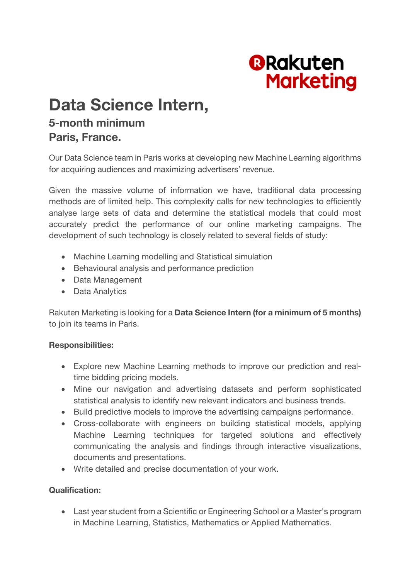

# **Data Science Intern,**

## **5-month minimum Paris, France.**

Our Data Science team in Paris works at developing new Machine Learning algorithms for acquiring audiences and maximizing advertisers' revenue.

Given the massive volume of information we have, traditional data processing methods are of limited help. This complexity calls for new technologies to efficiently analyse large sets of data and determine the statistical models that could most accurately predict the performance of our online marketing campaigns. The development of such technology is closely related to several fields of study:

- Machine Learning modelling and Statistical simulation
- Behavioural analysis and performance prediction
- Data Management
- Data Analytics

Rakuten Marketing is looking for a **Data Science Intern (for a minimum of 5 months)** to join its teams in Paris.

### **Responsibilities:**

- Explore new Machine Learning methods to improve our prediction and realtime bidding pricing models.
- Mine our navigation and advertising datasets and perform sophisticated statistical analysis to identify new relevant indicators and business trends.
- Build predictive models to improve the advertising campaigns performance.
- Cross-collaborate with engineers on building statistical models, applying Machine Learning techniques for targeted solutions and effectively communicating the analysis and findings through interactive visualizations, documents and presentations.
- Write detailed and precise documentation of your work.

### **Qualification:**

• Last year student from a Scientific or Engineering School or a Master's program in Machine Learning, Statistics, Mathematics or Applied Mathematics.